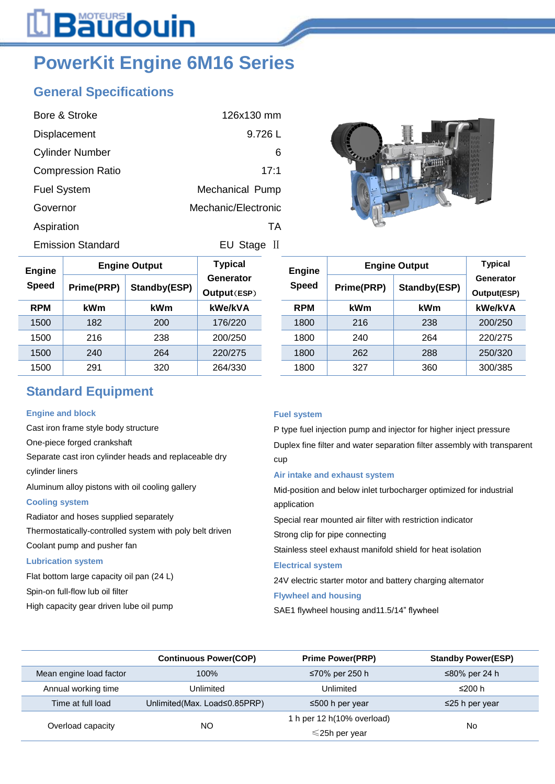## L**Bäudouin**

### **PowerKit Engine 6M16 Series**

### **General Specifications**

| Bore & Stroke            | 126x130 mm          |
|--------------------------|---------------------|
| Displacement             | 9.726 L             |
| <b>Cylinder Number</b>   | 6                   |
| <b>Compression Ratio</b> | 17:1                |
| <b>Fuel System</b>       | Mechanical Pump     |
| Governor                 | Mechanic/Electronic |
| Aspiration               | ТA                  |
| <b>Emission Standard</b> | EU Stage<br>- 11    |



| Engine       |            | <b>Engine Output</b> | <b>Typical</b><br>Generator<br>Output(ESP) |  | <b>Engine</b><br><b>Speed</b> | <b>Engine Output</b> |              | <b>Typical</b>                 |  |
|--------------|------------|----------------------|--------------------------------------------|--|-------------------------------|----------------------|--------------|--------------------------------|--|
| <b>Speed</b> | Prime(PRP) | Standby(ESP)         |                                            |  |                               | Prime(PRP)           | Standby(ESP) | Generator<br><b>Output(ESF</b> |  |
| <b>RPM</b>   | <b>kWm</b> | <b>kWm</b>           | kWe/kVA                                    |  | <b>RPM</b>                    | kWm                  | kWm          | kWe/kVA                        |  |
| 1500         | 182        | 200                  | 176/220                                    |  | 1800                          | 216                  | 238          | 200/250                        |  |
| 1500         | 216        | 238                  | 200/250                                    |  | 1800                          | 240                  | 264          | 220/275                        |  |
| 1500         | 240        | 264                  | 220/275                                    |  | 1800                          | 262                  | 288          | 250/320                        |  |
| 1500         | 291        | 320                  | 264/330                                    |  | 1800                          | 327                  | 360          | 300/385                        |  |

|              |                                               |                                                             |                                                         | <b>Typical</b> |                                                                    |  |
|--------------|-----------------------------------------------|-------------------------------------------------------------|---------------------------------------------------------|----------------|--------------------------------------------------------------------|--|
| Standby(ESP) |                                               | Speed                                                       | Generator                                               |                |                                                                    |  |
|              |                                               |                                                             |                                                         |                |                                                                    |  |
|              |                                               |                                                             |                                                         |                |                                                                    |  |
|              |                                               |                                                             |                                                         |                |                                                                    |  |
|              |                                               |                                                             |                                                         |                |                                                                    |  |
|              |                                               |                                                             |                                                         |                |                                                                    |  |
|              | Prime(PRP)<br>kWm<br>216<br>240<br>262<br>327 | <b>Engine</b><br><b>RPM</b><br>1800<br>1800<br>1800<br>1800 | <b>Engine Output</b><br>kWm<br>238<br>264<br>288<br>360 |                | Output(ESP)<br>kWe/kVA<br>200/250<br>220/275<br>250/320<br>300/385 |  |

### **Standard Equipment**

### **Engine and block**

Cast iron frame style body structure One-piece forged crankshaft Separate cast iron cylinder heads and replaceable dry cylinder liners Aluminum alloy pistons with oil cooling gallery **Cooling system** Radiator and hoses supplied separately Thermostatically-controlled system with poly belt driven Coolant pump and pusher fan

#### **Lubrication system**

Flat bottom large capacity oil pan (24 L)

Spin-on full-flow lub oil filter

High capacity gear driven lube oil pump

### **Fuel system**

P type fuel injection pump and injector for higher inject pressure Duplex fine filter and water separation filter assembly with transparent cup

### **Air intake and exhaust system**

Mid-position and below inlet turbocharger optimized for industrial application

Special rear mounted air filter with restriction indicator

Strong clip for pipe connecting

Stainless steel exhaust manifold shield for heat isolation

### **Electrical system**

24V electric starter motor and battery charging alternator

### **Flywheel and housing**

SAE1 flywheel housing and11.5/14" flywheel

|                         | <b>Continuous Power(COP)</b> | <b>Prime Power(PRP)</b>    | <b>Standby Power(ESP)</b> |
|-------------------------|------------------------------|----------------------------|---------------------------|
| Mean engine load factor | 100%                         | ≤70% per 250 h             | ≤80% per 24 h             |
| Annual working time     | Unlimited                    | Unlimited                  | ≤200 h                    |
| Time at full load       | Unlimited(Max. Load≤0.85PRP) | ≤500 h per year            | $\leq$ 25 h per year      |
|                         |                              | 1 h per 12 h(10% overload) |                           |
| Overload capacity       | <b>NO</b>                    | $\leq$ 25h per year        | No                        |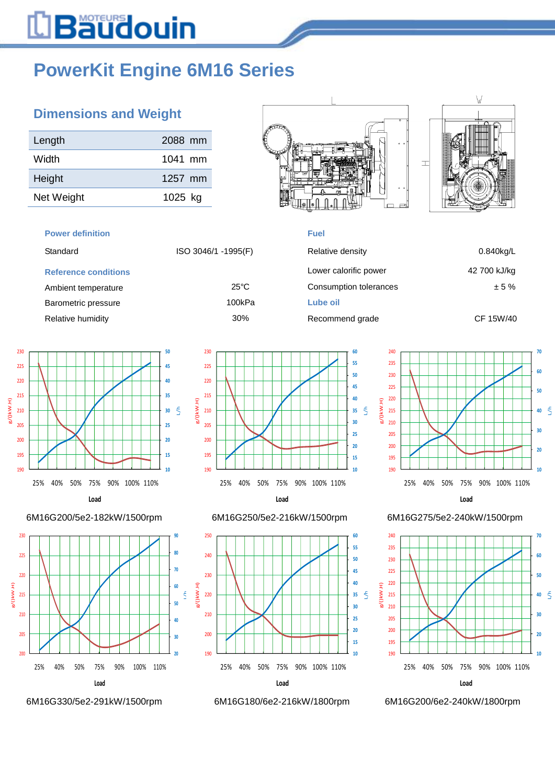# L**Bäudouin**

## **PowerKit Engine 6M16 Series**

### **Dimensions and Weight**

| Length     | 2088 mm |
|------------|---------|
| Width      | 1041 mm |
| Height     | 1257 mm |
| Net Weight | 1025 kg |

#### **Power definition Fuel**

| ISO 3046/1 -1995(F) |  |
|---------------------|--|
|                     |  |

### **Reference conditions**













| Standard                    | ISO 3046/1 -1995(F) | Relative density       | $0.840$ kg/L |
|-----------------------------|---------------------|------------------------|--------------|
| <b>Reference conditions</b> |                     | Lower calorific power  | 42 700 kJ/kg |
| Ambient temperature         | $25^{\circ}$ C      | Consumption tolerances | ± 5%         |
| Barometric pressure         | 100kPa              | Lube oil               |              |
| Relative humidity           | 30%                 | Recommend grade        | CF 15W/40    |



### 6M16G200/5e2-182kW/1500rpm 6M16G250/5e2-216kW/1500rpm 6M16G275/5e2-240kW/1500rpm



6M16G330/5e2-291kW/1500rpm 6M16G180/6e2-216kW/1800rpm 6M16G200/6e2-240kW/1800rpm